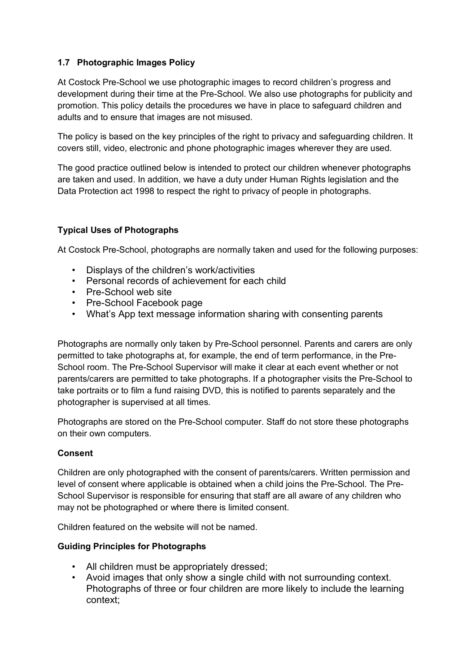## **1.7 Photographic Images Policy**

At Costock Pre-School we use photographic images to record children's progress and development during their time at the Pre-School. We also use photographs for publicity and promotion. This policy details the procedures we have in place to safeguard children and adults and to ensure that images are not misused.

The policy is based on the key principles of the right to privacy and safeguarding children. It covers still, video, electronic and phone photographic images wherever they are used.

The good practice outlined below is intended to protect our children whenever photographs are taken and used. In addition, we have a duty under Human Rights legislation and the Data Protection act 1998 to respect the right to privacy of people in photographs.

## **Typical Uses of Photographs**

At Costock Pre-School, photographs are normally taken and used for the following purposes:

- Displays of the children's work/activities
- Personal records of achievement for each child
- Pre-School web site
- Pre-School Facebook page
- What's App text message information sharing with consenting parents

Photographs are normally only taken by Pre-School personnel. Parents and carers are only permitted to take photographs at, for example, the end of term performance, in the Pre-School room. The Pre-School Supervisor will make it clear at each event whether or not parents/carers are permitted to take photographs. If a photographer visits the Pre-School to take portraits or to film a fund raising DVD, this is notified to parents separately and the photographer is supervised at all times.

Photographs are stored on the Pre-School computer. Staff do not store these photographs on their own computers.

## **Consent**

Children are only photographed with the consent of parents/carers. Written permission and level of consent where applicable is obtained when a child joins the Pre-School. The Pre-School Supervisor is responsible for ensuring that staff are all aware of any children who may not be photographed or where there is limited consent.

Children featured on the website will not be named.

## **Guiding Principles for Photographs**

- All children must be appropriately dressed;
- Avoid images that only show a single child with not surrounding context. Photographs of three or four children are more likely to include the learning context;